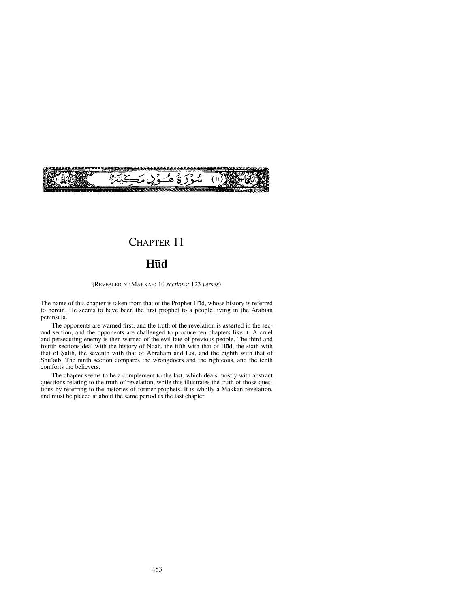

# CHAPTER 11

# **H∂d**

(REVEALED AT MAKKAH: 10 *sections;* 123 *verses*)

The name of this chapter is taken from that of the Prophet Hūd, whose history is referred to herein. He seems to have been the first prophet to a people living in the Arabian peninsula.

The opponents are warned first, and the truth of the revelation is asserted in the second section, and the opponents are challenged to produce ten chapters like it. A cruel and persecuting enemy is then warned of the evil fate of previous people. The third and fourth sections deal with the history of Noah, the fifth with that of H∂d, the sixth with that of Salih, the seventh with that of Abraham and Lot, and the eighth with that of Shu'aib. The ninth section compares the wrongdoers and the righteous, and the tenth comforts the believers.

The chapter seems to be a complement to the last, which deals mostly with abstract questions relating to the truth of revelation, while this illustrates the truth of those questions by referring to the histories of former prophets. It is wholly a Makkan revelation, and must be placed at about the same period as the last chapter.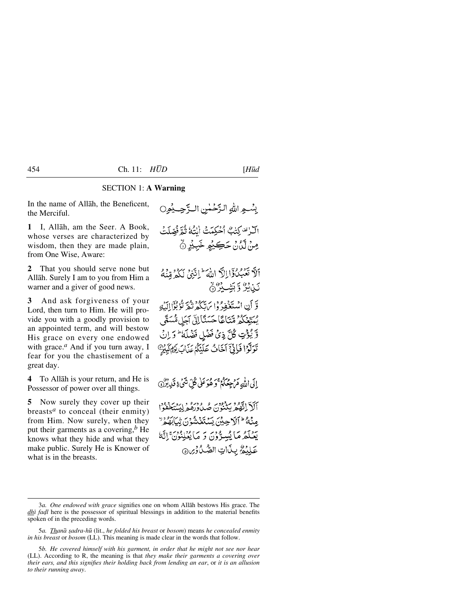## SECTION 1: **A Warning**

In the name of Allåh, the Beneficent, the Merciful.

**1** I, Allåh, am the Seer. A Book, whose verses are characterized by wisdom, then they are made plain, from One Wise, Aware:

**2** That you should serve none but Allåh. Surely I am to you from Him a warner and a giver of good news.

**3** And ask forgiveness of your Lord, then turn to Him. He will provide you with a goodly provision to an appointed term, and will bestow His grace on every one endowed with grace.*<sup>a</sup>* And if you turn away, I fear for you the chastisement of a great day.

**4** To Allåh is your return, and He is Possessor of power over all things.

**5** Now surely they cover up their breasts*<sup>a</sup>* to conceal (their enmity) from Him. Now surely, when they put their garments as a covering,*<sup>b</sup>* He knows what they hide and what they make public. Surely He is Knower of what is in the breasts.

بِسُّـهِ اللهِ الزَّحْمٰنِ الـرَّحِـبُوِ0 الراتف كتبُّ أَخْبَكْمَتْ النُّهُ ثُمَّ فُصَّلَتْ مِنْ لَّكَانُ حَڪِيْمِ خَبِيْرِ نَّ أَلاَّ تَعَبُّدُوۡٓاللَّهَ اللَّهَ ۚ إِلَيۡهِ ۚ لَكُمۡ مِّنۡهُ نَبْابُرٌ وَبَشْبِدٌهُمْ وَّ أَنِ اسْتَغْفِدْ وَإِيَ آَيُكُمْ نَيْمٌ نُوْبُوَّاإِلَيْهِ يْمَتِّعْكُمْ مِّتَاعًا حَسَنًا إِلَى آجَلِ مُّسَمًّى وِّ يُؤْتِ كُلَّ ذِي فَضْلِ فَضْلَهُ ۚ وَ إِنْ تَوَلَّوْا فَإِنَّيَّ أَخَافُ عَلَيْكُمْ عَذَابَ يَوْمِ كَبِيْنِ إِلَى اللَّهِ مَرْجِعُكُمْ ۚ وَهُوَ عَلَى كُلِّ شَيْءٍ قَدِينُوْنَ أَلَلْ اتَّقُومُ بَذَفْعَنَ صُدْدُوطُورُ لِيَبَدِّ مِنْهُ ۖ أَلَا حِينَ يَسْتَغَشُّوْنَ تِبَابَهُمُ ۚ

يَعْلَمُ مَا يُسِدُّونَ وَ مَا يُعْلِنُونَ إِنَّهُ عَلِيْمٌ بِنَاتِ الصَّدُورِ @

<sup>3</sup>*a. One endowed with grace* signifies one on whom Allåh bestows His grace. The *dhi fadl* here is the possessor of spiritual blessings in addition to the material benefits spoken of in the preceding words.

<sup>5</sup>*a. Thanå ©adra-h∂* (lit., *he folded his breast* or *bosom*) means *he concealed enmity in his breast* or *bosom* (LL). This meaning is made clear in the words that follow.

<sup>5</sup>*b. He covered himself with his garment, in order that he might not see nor hear* (LL). According to R, the meaning is that *they make their garments a covering over their ears, and this signifies their holding back from lending an ear*, or *it is an allusion to their running away*.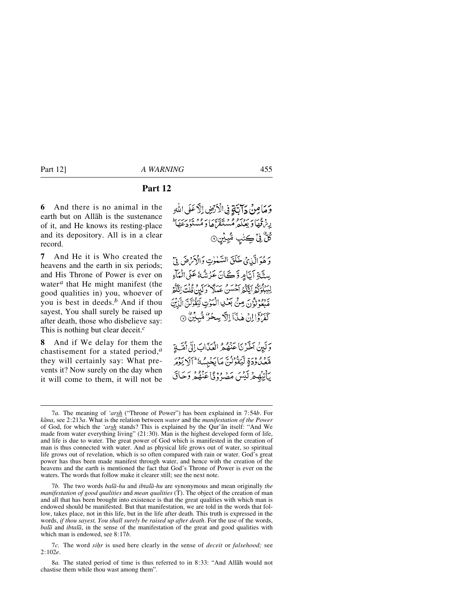# **Part 12**

**6** And there is no animal in the earth but on Allåh is the sustenance of it, and He knows its resting-place and its depository. All is in a clear record.

**7** And He it is Who created the heavens and the earth in six periods; and His Throne of Power is ever on water*<sup>a</sup>* that He might manifest (the good qualities in) you, whoever of you is best in deeds.*<sup>b</sup>* And if thou sayest, You shall surely be raised up after death, those who disbelieve say: This is nothing but clear deceit.*<sup>c</sup>*

**8** And if We delay for them the chastisement for a stated period,*<sup>a</sup>* they will certainly say: What prevents it? Now surely on the day when it will come to them, it will not be وَمَامِنْ دَابَيَّةٍ فِي الْأَرْضِ إِلَّا عَلَى اللَّهِ ريزة عن سريحوم ويجيزين به وديه برسية گُلُّ فِيْ ڪِتٰبِ مُّبِي<u>ْنِ</u>۞

وَهُوَالَّذِينَ خَلَقَ السَّمْوٰتِ وَالْأَمْرَضَ فِيٍّ سِتَّةِ أَتَّامِر وَّڪَانَ عَزْشُهُ عَلَى الْمَاءِ لِيَبْلُوَكُمُ اَيَّكُمُ اَحْسَنُ عَمَلاً وَلَيِنْ قُلْتَ اِنَّكُمُ مَّبْعَوْنَوْنَ مِنَّ بَعْلِ الْمَوْتِ لِيَقُوْلَنَّ الَّذِيْنَ كَفَرْدَ إِلَيْ هٰذَآ إِلَّا بِسِحْرٌ مُثْبِيْنٌ ۞

وَلَيِنْ اَخَّذْنَا عَنْصُعُ الْعَذَابَ إِلَّىٰ أَمَّتَـٰذٍ مَّعْدُوْدَةِ لَّيَقُوْلُنَّ مَايَحْبِسُهُ ۚ أَلَا يَوْمَرُ بِٱتِيْهِ جِرْلَيْسَ مَصَرْدَ فَأَعَنْهُمْ وَجَاقَ

7*b.* The two words *balå-hu* and *ibtalå-hu* are synonymous and mean originally *the manifestation of good qualities* and *mean qualities* (T). The object of the creation of man and all that has been brought into existence is that the great qualities with which man is endowed should be manifested. But that manifestation, we are told in the words that follow, takes place, not in this life, but in the life after death. This truth is expressed in the words, *if thou sayest, You shall surely be raised up after death*. For the use of the words, *balå* and *ibtalå*, in the sense of the manifestation of the great and good qualities with which man is endowed, see 8:17*b*.

<sup>7</sup>*a.* The meaning of *'arsh* ("Throne of Power") has been explained in 7:54*b*. For *kåna*, see 2:213*a*. What is the relation between *water* and the *manifestation of the Power* of God, for which the *'arsh* stands? This is explained by the Qur'ån itself: "And We made from water everything living" (21:30). Man is the highest developed form of life, and life is due to water. The great power of God which is manifested in the creation of man is thus connected with water. And as physical life grows out of water, so spiritual life grows out of revelation, which is so often compared with rain or water. God's great power has thus been made manifest through water, and hence with the creation of the heavens and the earth is mentioned the fact that God's Throne of Power is ever on the waters. The words that follow make it clearer still; see the next note.

<sup>7</sup>*c.* The word *siƒr* is used here clearly in the sense of *deceit* or *falsehood;* see 2:102*e*.

<sup>8</sup>*a.* The stated period of time is thus referred to in 8:33: "And Allåh would not chastise them while thou wast among them".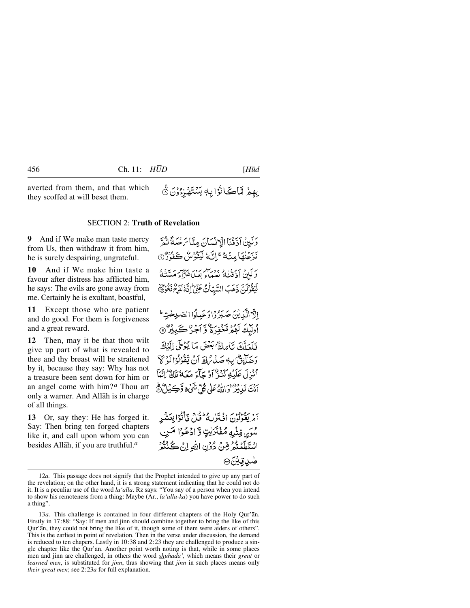averted from them, and that which they scoffed at will beset them.

#### SECTION 2: **Truth of Revelation**

**9** And if We make man taste mercy from Us, then withdraw it from him, he is surely despairing, ungrateful.

**10** And if We make him taste a favour after distress has afflicted him, he says: The evils are gone away from me. Certainly he is exultant, boastful,

**11** Except those who are patient and do good. For them is forgiveness and a great reward.

**12** Then, may it be that thou wilt give up part of what is revealed to thee and thy breast will be straitened by it, because they say: Why has not a treasure been sent down for him or an angel come with him? *<sup>a</sup>* Thou art only a warner. And Allåh is in charge of all things.

**13** Or, say they: He has forged it. Say: Then bring ten forged chapters like it, and call upon whom you can besides Allåh, if you are truthful.*<sup>a</sup>*

وَلَيْنُ أَذَقْنَا الْإِنشَانَ مِنَّا يَهْتَمَا يَحْدَثَوْنَهُمْ بْبِرْ نِهَا مِنْهُ ۚ إِنَّ لَيُؤْسُ كَفَوْرٌ ۞ وَلَبِنۡ أَذَقَٰنَٰهُ بِعِمَاءَ بِعَيۡاَ مُتَرَاءَ مَسَّنَٰهُ لْيَقُوْلَنَّ ذَهَبَ السَّيِّأْتُ عَنِّيُّ إِنَّهُ لَفَرِحَ نَحْوُرُ ﴾

بِهِمۡ مَّاڪَﺎنُوۡٳ بِهٖ يَسۡتَهُـٰٓ; وُنَ ۞

الآدالكْدِيْنَ صَبَرُ دْادْعَىلْدا الصّْلِحْيّْ ط وباكَ لَهُمْ مَّعْفِرَةٌ وَّ اَجْرٌ كَبِيْرٌ ۞ فَلَعَلَّكَ تَأْرَاكُ بَعْضَ مَا يُؤْمَى إِلَيْكَ دَ ضَآيِقٌ بِهِ صَدْرَاءَ آنَ يَقْوُلُوْا لَوْ كَأَ أَنْزِلَ عَلَيْهِ كَنْذَبَّ أَوْ جَأْءَ مَعَهُ مَلَاًّ لِنَّعَآ بِنِيَ بَنِ بِيُرٌ وَاللَّهُ عَلَى كُلِّ شَيْءٍ وَّكِيْنٌ ثَلَّ

أمْرِيقُولُونَ إِنْ تَبْرَى لِمَطْنَةً لِ فَأَنْتُوْا بِعَيْشَرِ سُوَبِي قِتْلِهِ مُفْتَرَيٰتٍ وَّادْعُوْا مَنِ اسْتَطَعۡتُمۡ مِّنۡ دُوۡنِ اللَّهِ إِنۡ كُنۡتُمۡ ۖ ضيوتي*ن*@

<sup>12</sup>*a.* This passage does not signify that the Prophet intended to give up any part of the revelation; on the other hand, it is a strong statement indicating that he could not do it. It is a peculiar use of the word *la'alla*. Rz says: "You say of a person when you intend to show his remoteness from a thing: Maybe (Ar., *la'alla-ka*) you have power to do such a thing".

<sup>13</sup>*a.* This challenge is contained in four different chapters of the Holy Qur'ån. Firstly in 17:88: "Say: If men and jinn should combine together to bring the like of this Qur'ån, they could not bring the like of it, though some of them were aiders of others". This is the earliest in point of revelation. Then in the verse under discussion, the demand is reduced to ten chapers. Lastly in 10:38 and 2:23 they are challenged to produce a single chapter like the Qur'ån. Another point worth noting is that, while in some places men and jinn are challenged, in others the word *shuhadå',* which means their *great* or *learned men*, is substituted for *jinn*, thus showing that *jinn* in such places means only *their great men*; see 2:23*a* for full explanation.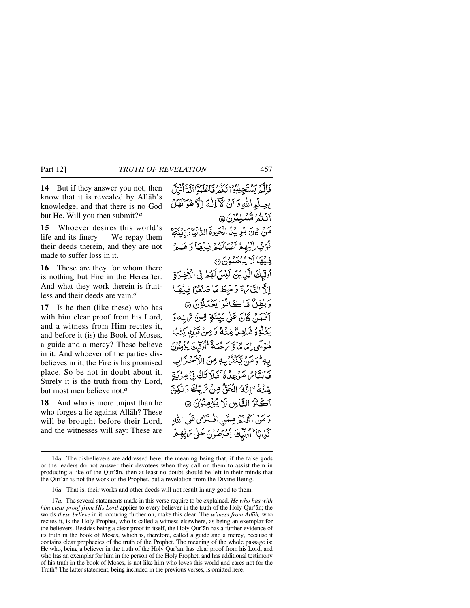**14** But if they answer you not, then know that it is revealed by Allåh's knowledge, and that there is no God but He. Will you then submit?*<sup>a</sup>*

**15** Whoever desires this world's life and its finery — We repay them their deeds therein, and they are not made to suffer loss in it.

**16** These are they for whom there is nothing but Fire in the Hereafter. And what they work therein is fruitless and their deeds are vain.*<sup>a</sup>*

**17** Is he then (like these) who has with him clear proof from his Lord, and a witness from Him recites it, and before it (is) the Book of Moses, a guide and a mercy? These believe in it. And whoever of the parties disbelieves in it, the Fire is his promised place. So be not in doubt about it. Surely it is the truth from thy Lord, but most men believe not.*<sup>a</sup>*

**18** And who is more unjust than he who forges a lie against Allåh? These will be brought before their Lord, and the witnesses will say: These are

فَالَّهُ يَسْتَجِيبُوْا لَكُمْ فَاعْلَمُوْااتَنَاأَنْزِلَ بِعِيلُهِ اللَّهِ وَآنُ كَآلِكَ إِلَّا هُوَّتَفَالُ آنْتُمُّ مِّسْلِبُرُنَ@ مَنْ كَانَ يُرِيِّدُ الْحَيْوةَ الدُّنْمَادَ رِبِيِّهَا نُوَفِّ إِلَيْهِمْ آَعَهَالَهُمْ فِيهُهَا وَ هُءُ فِينَهَا لَا يُنْغَسُونَ ۞ أُولِّيكَ الَّذِينَ لَيْسَ لَهُمْ فِي الْأَخِرَةِ إِلَّاالِّيَّامُ دَّجِيطَ مَا صَنْعُوْا فِيهُمَا وَبْطِلٌ مَّاڪَانُوْا يَعْمَلُوْنَ ۞ آفَمَدْنِ كَانَ عَلَىٰ بَكِيْنَةٍ قِمْنُ تَرَبِّ وَ يَتْلَوْهُ شَاهِيٌّ مِّنْهُ وَصِنْ قَبْلِهِ كِتْبٌ مُوْتَنِي إِمَامَاً وَ سَهْتُمَةً ۖ أُولَيْكَ يُؤْمِنُونَ بِهِ وَمَنْ يَكُفْرُ بِهِ مِنَ الْأَحْذَابِ فَالنَّائِرِ مَوْعِدُةٌ فَلَا تَكُ فِيْ مِرْيَةٍ يِّنْهُ ۚ إِنَّهُ الْحَقُّ مِنۡ تَرَبَّكَ وَ لَٰكِنَّ آڪُٽَرَ الٽَاسِ لَا يُؤْمِنُوۡنَ ۞ دَ مَنْ أَظُلَّهُ مِيَّينِ افْتَلَاي عَلَى اللهِ كَّذِبَّا الْوَلَّيْكَ يُعْرَضُونَ عَلَى تَرَبِّعِهُ

<sup>14</sup>*a.* The disbelievers are addressed here, the meaning being that, if the false gods or the leaders do not answer their devotees when they call on them to assist them in producing a like of the Qur'ån, then at least no doubt should be left in their minds that the Qur'ån is not the work of the Prophet, but a revelation from the Divine Being.

<sup>16</sup>*a.* That is, their works and other deeds will not result in any good to them.

<sup>17</sup>*a.* The several statements made in this verse require to be explained. *He who has with him clear proof from His Lord* applies to every believer in the truth of the Holy Qur'an; the words *these believe* in it, occuring further on, make this clear. The *witness from Allåh,* who recites it, is the Holy Prophet, who is called a witness elsewhere, as being an exemplar for the believers. Besides being a clear proof in itself, the Holy Qur'ån has a further evidence of its truth in the book of Moses, which is, therefore, called a guide and a mercy, because it contains clear prophecies of the truth of the Prophet. The meaning of the whole passage is: He who, being a believer in the truth of the Holy Qur'ån, has clear proof from his Lord, and who has an exemplar for him in the person of the Holy Prophet, and has additional testimony of his truth in the book of Moses, is not like him who loves this world and cares not for the Truth? The latter statement, being included in the previous verses, is omitted here.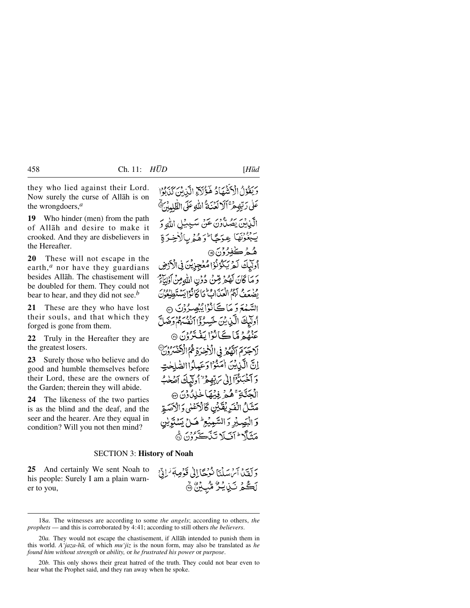they who lied against their Lord. Now surely the curse of Allåh is on the wrongdoers,*<sup>a</sup>*

**19** Who hinder (men) from the path of Allåh and desire to make it crooked. And they are disbelievers in the Hereafter.

**20** These will not escape in the earth,*<sup>a</sup>* nor have they guardians besides Allåh. The chastisement will be doubled for them. They could not bear to hear, and they did not see.*<sup>b</sup>*

**21** These are they who have lost their souls, and that which they forged is gone from them.

**22** Truly in the Hereafter they are the greatest losers.

**23** Surely those who believe and do good and humble themselves before their Lord, these are the owners of the Garden; therein they will abide.

**24** The likeness of the two parties is as the blind and the deaf, and the seer and the hearer. Are they equal in condition? Will you not then mind?

وَيَقُوْلُ الْآَيَنْيُهَادُ هَؤُلاَةِ الَّذِبِيِّنَ كَذَبُوْل عَلَىٰ رَبُّهِمْ ۚ ٱلۡ لَعۡنَهُ ۚ اللَّهِ عَلَى الظُّلِيبُنِّ ﴾ لَّذِينَ يَصُلُّونَ عَنْ سَـٰبِيئِلِ اللَّهِ وَ بَبْغُوْتُهَا عِرَجًا وَهُمْرِيالْأَخِرَةِ هُجُد ڪُفِدُوْنَ ۞ أُولَيْكَ لَمْ يَكْدُنُوْا مُعْجِزِيْنَ فِي الْأَدْوَضِ وَ مَا كَانَ لَهُمْ مِّنْ دُوۡنِ اللَّهِ مِنۡ أَوۡلِيَآَيُرُ يُضْعَفُ لَهُمُ الْعَيْدَابُ كَلَّ كَانُوْا يَبِيِّبَةَ الْحَدُنُ السَّيْمَةَ دَ مَا ڪَانْزُا پُنِصِيرُوْنَ ۞ وَلَيْكَ الَّذِينَ خَسِرُوْاالْفُسْهُمْ وَضَلَّ بِنْ مِنْ مَا كَانُوْا يَغْتَرُوْنَ ۞ لَاجَرَمَ ٱنَّهُمْ فِي الْأَخِيرَةِ ثُمُّ الْآَخِسَرُوْنَ إنَّ الَّذِينَ اٰمَنُوْا دَعَبِيلُوا الصَّلِحْتِ دَ آخَبَنَدُّآٓٓآٳلٰی بَرٰبِّهِعۡ ٌ ٰ اُولَّیۡكَ آصَٰحٰبُّ الْجَنَّةِ عَمْجُ فِيْهَا خِلِدُدُنَ ۞ مَتَلُ الْفَرِيْقَيْنِ كَالْكَهْنِي وَالْأَصَعِّرِ وَ الْبَصِيْرِ وَ السَّعِيْعِ ۖ هَـٰ( بَسَنْتَوِيْن

# SECTION 3: **History of Noah**

**25** And certainly We sent Noah to his people: Surely I am a plain warner to you,

دَلْفَيْدُ آَيْرَسَلْنَا نُوُجَا إِلَى قَوْمِهِ ۖ لَـٰ إِنِّي لَڪُمُ نَـٰزِيكُرُّ مُّٰٓبِيۡنُ ۞

مَتَلَّا اتَبَلَا تَنَاكَّرُونَ ۞

<sup>18</sup>*a.* The witnesses are according to some *the angels*; according to others, *the prophets* — and this is corroborated by 4:41; according to still others *the believers*.

<sup>20</sup>*a.* They would not escape the chastisement, if Allåh intended to punish them in this world. *A'jaza-h∂,* of which *mu'jiz* is the noun form, may also be translated as *he found him without strength* or *ability,* or *he frustrated his power* or *purpose*.

<sup>20</sup>*b.* This only shows their great hatred of the truth. They could not bear even to hear what the Prophet said, and they ran away when he spoke.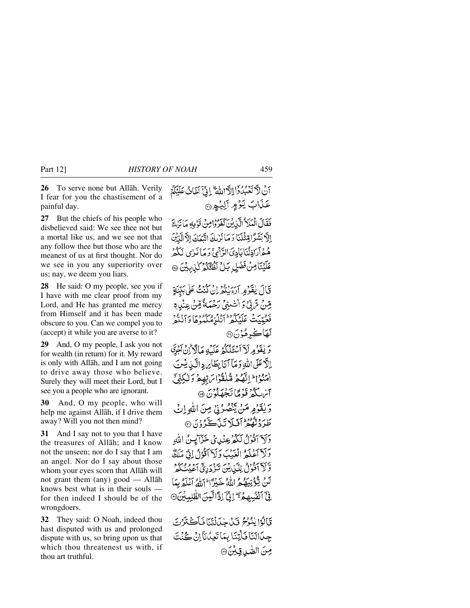**26** To serve none but Allåh. Verily I fear for you the chastisement of a painful day.

**27** But the chiefs of his people who disbelieved said: We see thee not but a mortal like us, and we see not that any follow thee but those who are the meanest of us at first thought. Nor do we see in you any superiority over us; nay, we deem you liars.

**28** He said: O my people, see you if I have with me clear proof from my Lord, and He has granted me mercy from Himself and it has been made obscure to you. Can we compel you to (accept) it while you are averse to it?

**29** And, O my people, I ask you not for wealth (in return) for it. My reward is only with Allåh, and I am not going to drive away those who believe. Surely they will meet their Lord, but I see you a people who are ignorant.

**30** And, O my people, who will help me against Allåh, if I drive them away? Will you not then mind?

**31** And I say not to you that I have the treasures of Allåh; and I know not the unseen; nor do I say that I am an angel. Nor do I say about those whom your eyes scorn that Allåh will not grant them (any) good — Allåh knows best what is in their souls for then indeed I should be of the wrongdoers.

**32** They said: O Noah, indeed thou hast disputed with us and prolonged dispute with us, so bring upon us that which thou threatenest us with, if thou art truthful.

أَنْ لَا تَعْبُدُوْٓاْ اللَّاسَّةُ ۚ إِنَّىٰٓ أَخَاثُ عَلَيْكُمُ عَذَابَ يَؤْمٍ آلِيُهِي

فَقَالَ الْمَلَا الَّذِينَ كَفَرُوْامِنْ تَوْمِهِ مَا نَزِيدَ إِلَّا بَشَرًا قِثْلَنَا دَمَا نَرْبِكَ اتَّنَعَكَ إِلَّا الَّذِيْنَ هُهۡأَرَاذِلۡنَآيَآدِيَاالزَّآئِيَّ وَمَاۤ نَبِايَ لَكُمۡ عَلَيْنَامِنُ فَضْلِ بَلْ نَظْعُكُمْ كَذِيبِيْنَ ۞

قَالَ يٰقَدْمِهِ ارْءِيْهِ إِنْ كُنْتُ عَلَى بَيِّنَةٍ قِنْ تَرَبِّيٌّ وَ الصُّنِيِّ رَحْمَةً قِنْ عِنْدِي دوير و سرورود دروود برود.<br>فعيّيتُ عَلَيْكُمْ أَنْكُرْمُكُمُوهَا دَانْتُمْ **لَهَاڪُ** هُوُنَ۞

دَيْفَوْمِرِلَآ ٱسۡتَلَٰكُمۡ عَلَيۡهِ مَالَٱ َٗانۡ ٱجۡدَى إلَّا عَلَى اللَّهِ دَمَآ أَنَا بِطَابِرِ دِ الَّيْ بِسُنَ امنواط اتھ مُلْقُوْا بِرَبِّهِمْ وَلٰكِنِّيِّ أساسكثر قنومًا تَجْهَلُونَ ۞ وَيُقَوْمِ مَنْ يَنْصُرُنِي مِنَ اللَّهِ إِنْ طَرَدتَّ مُعْزَانَيْلا تَنْدَڪَّرُ وُنَ ۞

وَلَآ أَقُوۡلُ لَكُمۡ عِنۡلِيۡ خَزَآ َ بِنُ اللَّهِ وَلَا آعَلَهُ الْعَبْبَ وَلَا آقُوْلُ إِنِّي مَلَكٌ وَّلَآ ٱقُوۡلُ لِلَّيۡنِ یُنَ تَذۡدَٰرِیۡ ٱعۡیُٰتُکُمۡ ۖ لَنْ يَتَوَنَّبَهُ مِ اللَّهُ خَيْرًا ۖ إِلَّهُ أَعْلَمُ بِهَا فِيَّ أَنْفُسُهِ جَرَّ الِّيِّ إِذَّا لَّيِنَ الطَّٰلِبِيْنَ ۞

قَالُوْا يُنُوْمُ قَلْ جِلَالَتَنَا فَأَكُثْرُتَ جِيَالَنَا فَأَتِنَا بِمَا تَعِيْدَانَآ إِنْ كُنْتَ صِنَ الصَّبِ قِيْنَ @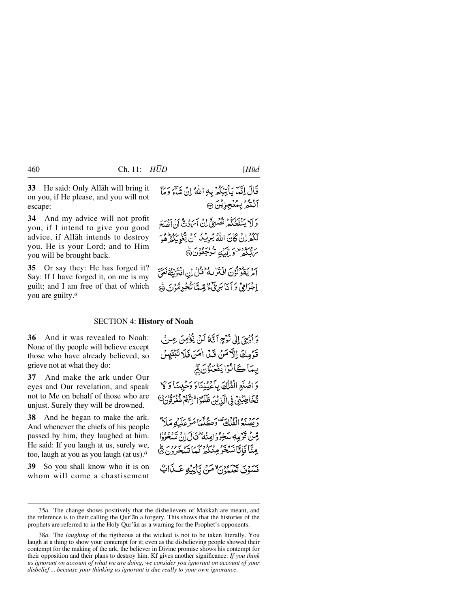**33** He said: Only Allåh will bring it on you, if He please, and you will not escape:

**34** And my advice will not profit you, if I intend to give you good advice, if Allåh intends to destroy you. He is your Lord; and to Him you will be brought back.

**35** Or say they: He has forged it? Say: If I have forged it, on me is my guilt; and I am free of that of which you are guilty.*<sup>a</sup>*

قَالَ إِنَّمَا يَأْتِيَكُمْ بِهِ اللَّهُ إِنْ شَآءَ وَمَآ آنْتُمُّ بِمُغْجِزِيْنَ @

بر بر بردیده د همه چ آن آبرد به برد بردید<br>و لا ینفغگیر نصبی آن آبرد به آن آنصَعَ لَكُفْرِانٌ كَانَ اللَّهُ يُرِيْبُكُ أَنْ يَتَّنُونَكُمْ هُوَ بر مهوده برازند شرجعون ک

برد سودوس 15 كار وطويل ان افتريته فعليّ<br>امريقولۇن افترىيە فىل ان افتريته فعليّ إِجْرَامِي وَ أَنَا بَرِيٌّ ۚ قِدِيمَانُكُجُرِمُوْنَ ۞

## SECTION 4: **History of Noah**

**36** And it was revealed to Noah: None of thy people will believe except those who have already believed, so grieve not at what they do:

**37** And make the ark under Our eyes and Our revelation, and speak not to Me on behalf of those who are unjust. Surely they will be drowned.

**38** And he began to make the ark. And whenever the chiefs of his people passed by him, they laughed at him. He said: If you laugh at us, surely we, too, laugh at you as you laugh (at us).*<sup>a</sup>*

**39** So you shall know who it is on whom will come a chastisement

وَ أُدْحِيَ إِلَى نُوْجِعِ آيَّكَ لَيْنَ يَتَوُّصِنَ مِبْرِ فِي قَوْمِكَ الْآمَنْ قَبْلَ أَمَنَ فَلَا تَبْتَيْسَ يِّمَاكَانُوْا يَغْمَلُوْنَ فَيِّ وَ اصْنَعِ الْفُلْكَ بِأَعْيُنِنَا وَ وَحْيِينَا وَ كَا تَّخَاطِبُنِيُّ فِي الَّذِيْنَ ظَلَّمُوْ اِ ۚ إِنَّهُمْ مُتَّعْرِفُونَ يرسوم ودودية تفاديج كمكا مَترْعَلَيْهِ مَلَامٌ يْتِينْ قَوْمِهِ سَخِرُوْامِنُهُ ۖ فَالْمَالَ إِنْ تَسْخَرُوْا عِنَّا فَإِنَّا نَسْخَرُ مِنْكُمْ كَمَا تَسْخَرُونَ۞ فَيَسَوْدَيَ بَعْزَ وَدَرَ لامَنْ تَأْتِيَبُهِ عَبِيدَاتٍ

<sup>35</sup>*a.* The change shows positively that the disbelievers of Makkah are meant, and the reference is to their calling the Qur'ån a forgery. This shows that the histories of the prophets are referred to in the Holy Qur'ån as a warning for the Prophet's opponents.

<sup>38</sup>*a.* The *laughing* of the rigtheous at the wicked is not to be taken literally. You laugh at a thing to show your contempt for it; even as the disbelieving people showed their contempt for the making of the ark, the believer in Divine promise shows his contempt for their opposition and their plans to destroy him. Kf gives another significance: *If you think us ignorant on account of what we are doing, we consider you ignorant on account of your disbelief ... because your thinking us ignorant is due really to your own ignorance*.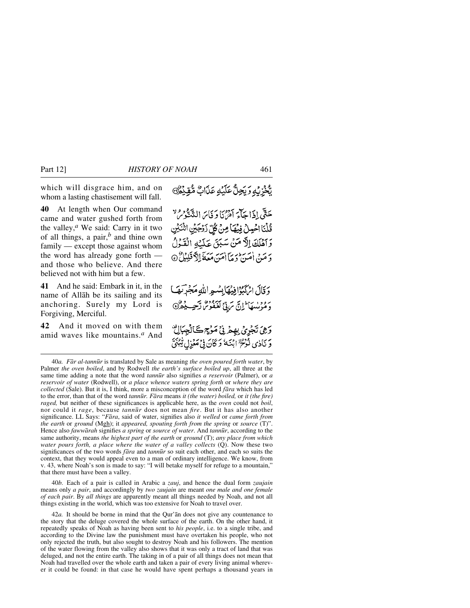which will disgrace him, and on whom a lasting chastisement will fall.

**40** At length when Our command came and water gushed forth from the valley,*<sup>a</sup>* We said: Carry in it two of all things, a pair,*<sup>b</sup>* and thine own family — except those against whom the word has already gone forth and those who believe. And there believed not with him but a few.

**41** And he said: Embark in it, in the name of Allåh be its sailing and its anchoring. Surely my Lord is Forgiving, Merciful.

**42** And it moved on with them amid waves like mountains.*<sup>a</sup>* And تَّخْزِبُهِ وَبَحِلٌّ عَلَيۡهِ عَذَابٌ مُّقِيۡكُنَّ

حَتَّى إِذَا حَكَّمَ أَمْرَهُ إِدْ وَمَايَ النَّهَ فَوْمِ لا قُلْنَا الْحَمِلُ فِيهَا مِنْ كُلِّ زَرْجَيْنِ اشْكَيْنِ وَأَهْلَكَ إِلَّا مَنْ سَبَقَ عَلَيْهِ الْقَوْلُ وَ مَنْ اٰمَينَ وَ مَآ اٰمَينَ مَعَهَّ اِلاَّ قَلِيْلُ ۞

وَقَالَ اِتْرَكَبُوْافِيْهَا بِسُعِهِ اللَّهِ مَجْرَبَهَمَا د مرسكا الَّ سَ بِيِّ لَعْفُوسُ رَّحِي يُهْرُنَّ

وَهِيَ تَجْرِيُّ بِهِمْ فِيْ مَوْجٍ ڪَالْجِبَ وَ نَادِي ذُدْعٍ ٰ ابْنَهُ وَ كَانَ فِي مَعْزِلٍ ٿَهِ

40*b.* Each of a pair is called in Arabic a *zauj*, and hence the dual form *zaujain* means only *a pair*, and accordingly by *two zaujain* are meant *one male and one female of each pair*. By *all things* are apparently meant all things needed by Noah, and not all things existing in the world, which was too extensive for Noah to travel over.

42*a.* It should be borne in mind that the Qur'ån does not give any countenance to the story that the deluge covered the whole surface of the earth. On the other hand, it repeatedly speaks of Noah as having been sent to *his people*, i.e. to a single tribe, and according to the Divine law the punishment must have overtaken his people, who not only rejected the truth, but also sought to destroy Noah and his followers. The mention of the water flowing from the valley also shows that it was only a tract of land that was deluged, and not the entire earth. The taking in of a pair of all things does not mean that Noah had travelled over the whole earth and taken a pair of every living animal wherever it could be found: in that case he would have spent perhaps a thousand years in

<sup>40</sup>*a. Får al-tann∂r* is translated by Sale as meaning *the oven poured forth water*, by Palmer *the oven boiled*, and by Rodwell *the earth's surface boiled up*, all three at the same time adding a note that the word *tann∂r* also signifies *a reservoir* (Palmer), or *a reservoir of water* (Rodwell), or *a place whence waters spring forth* or *where they are collected* (Sale). But it is, I think, more a misconception of the word *fåra* which has led to the error, than that of the word *tann∂r. Fåra* means *it (the water) boiled,* or *it (the fire) raged,* but neither of these significances is applicable here, as the *oven* could not *boil*, nor could it *rage*, because *tann∂r* does not mean *fire*. But it has also another significance. LL Says: "*Fåra*, said of water, signifies also *it welled* or *came forth from the earth* or *ground* (Mgh); it *appeared, spouting forth from the spring* or *source* (T)". Hence also *fawwårah* signifies *a spring* or *source of water*. And *tann∂r*, according to the same authority, means *the highest part of the earth* or *ground* (T); *any place from which water pours forth, a place where the water of a valley collects* (Q). Now these two significances of the two words *fåra* and *tann∂r* so suit each other, and each so suits the context, that they would appeal even to a man of ordinary intelligence. We know, from v. 43, where Noah's son is made to say: "I will betake myself for refuge to a mountain," that there must have been a valley.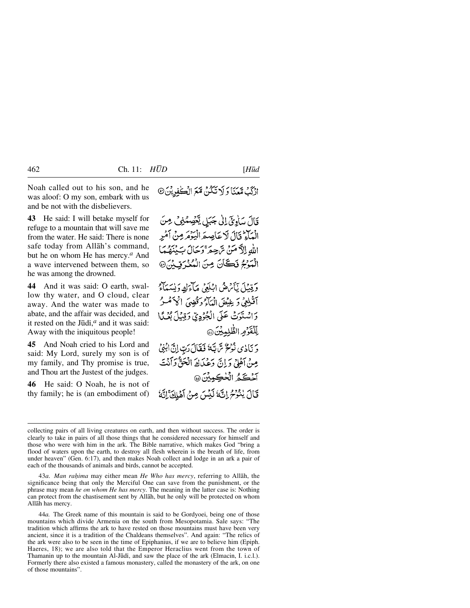Noah called out to his son, and he was aloof: O my son, embark with us and be not with the disbelievers.

**43** He said: I will betake myself for refuge to a mountain that will save me from the water. He said: There is none safe today from Allåh's command, but he on whom He has mercy.*<sup>a</sup>* And a wave intervened between them, so he was among the drowned.

**44** And it was said: O earth, swallow thy water, and O cloud, clear away. And the water was made to abate, and the affair was decided, and it rested on the Jūdi,<sup>*a*</sup> and it was said: Away with the iniquitous people!

**45** And Noah cried to his Lord and said: My Lord, surely my son is of my family, and Thy promise is true, and Thou art the Justest of the judges.

**46** He said: O Noah, he is not of thy family; he is (an embodiment of)

قَالَ سَأْدِيِّ لِلْيَ جَبَلِ يَعْصِمُنِي هِنَ الْمَآءُ قَالَ لَا عَاصِعَ الْبَوْمَرِ مِنْ أَمْرِ اللهِ الآمَنَ تَرْجِعَ وَحَالَ بَيْنَهُمَا الْبَوْجُ نَكَانَ مِنَ الْمُعْرَفِينَ @

وَقِينًا بِأَيْرَهُمُ ابْلَغَيْ مَأْءَكَ دَبِيَيْبَاْءُ آقُلِعِي وَ غِيْضَ الْمَآءُ وَقُضِيَ الْحَ َمْسُرُ وَاسْتَوَتْ عَلَى الْجُوْدِيِّ وَقِيْلَ بُعُدًا لِّلْقَرُمِ الظَّلِيِّيِّنَ@ وَ نَادُى نُوْحٌ سَّ بَنَهُ فَقَالَ رَبِّ إِنَّ ابْنِيُ

مِنْ آَهُلِيْ دَانَ دَعْبَالَهُ الْجَنَّيْ دَانْتَ آخْكَمُ الْخْكِمِيْنَ @ قَالَ يُنْزَحُ إِنَّهُ لَيْسَ مِنْ آَهْلِكَ إِنَّهُ

43*a. Man raƒima* may either mean *He Who has mercy*, referring to Allåh, the significance being that only the Merciful One can save from the punishment, or the phrase may mean *he on whom He has mercy*. The meaning in the latter case is: Nothing can protect from the chastisement sent by Allåh, but he only will be protected on whom Allåh has mercy.

44*a.* The Greek name of this mountain is said to be Gordyoei, being one of those mountains which divide Armenia on the south from Mesopotamia. Sale says: "The tradition which affirms the ark to have rested on those mountains must have been very ancient, since it is a tradition of the Chaldeans themselves". And again: "The relics of the ark were also to be seen in the time of Epiphanius, if we are to believe him (Epiph. Haeres, 18); we are also told that the Emperor Heraclius went from the town of Thamanin up to the mountain Al-Jūdī, and saw the place of the ark (Elmacin, I. i.c.l.). Formerly there also existed a famous monastery, called the monastery of the ark, on one of those mountains".

collecting pairs of all living creatures on earth, and then without success. The order is clearly to take in pairs of all those things that he considered necessary for himself and those who were with him in the ark. The Bible narrative, which makes God "bring a flood of waters upon the earth, to destroy all flesh wherein is the breath of life, from under heaven" (Gen. 6:17), and then makes Noah collect and lodge in an ark a pair of each of the thousands of animals and birds, cannot be accepted.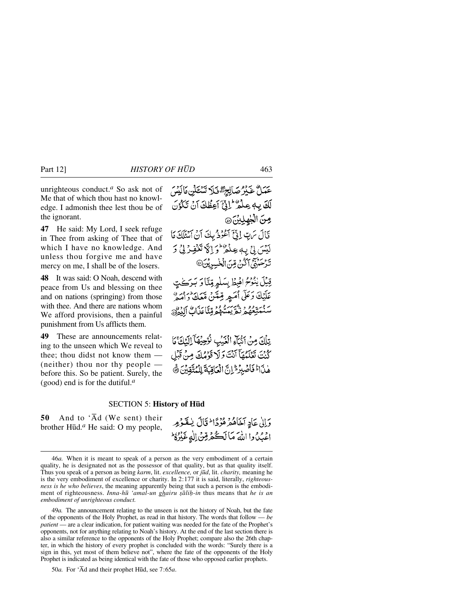unrighteous conduct.*<sup>a</sup>* So ask not of Me that of which thou hast no knowledge. I admonish thee lest thou be of the ignorant.

**47** He said: My Lord, I seek refuge in Thee from asking of Thee that of which I have no knowledge. And unless thou forgive me and have mercy on me, I shall be of the losers.

**48** It was said: O Noah, descend with peace from Us and blessing on thee and on nations (springing) from those with thee. And there are nations whom We afford provisions, then a painful punishment from Us afflicts them.

**49** These are announcements relating to the unseen which We reveal to thee; thou didst not know them — (neither) thou nor thy people before this. So be patient. Surely, the (good) end is for the dutiful.*<sup>a</sup>*

عَمَلٌ غَيْرُ صَالِحِ تَهُ فَلَا تَسْتَكَلِّنِ مَالَيْسَ لَكَ بِهِ عِلْمٌ إِنَّى آَعِظُكَ آنَ تَكْوُنَ صِنَ الْجِهِلِيْنَ، قَالَ سَتِ إِذْنَجَ آَعُوُدُ بِكَ أَنْ آَسْئَلَكَ مَا لَيْسَ بِيْ بِهِ عِنْدُهُ وَ إِلَّا تَغْفِرْ بِيْ دَ تَرْحَيْنِيَّ أَكْنُ مِّنَ الْخُسِرِيْنَ®

قِيْلَ يُنْوَحُ الْهِظْ بِسَلْمٍ قِنَّا وَ بَرَكَتٍ عَلَيْكَ دَعَلَى أُمَيِهِ قِيمَتَنْ مَّعَكَ دَامَهِ ۚ سنستغور بي سي وويتاعدن الدون

تِلْكَ مِنْ أَنْكَاءِ الْغَيْبِ نُرْحِيْهَا ۚ لِلَّذِكَ مَا كُنْتَ تَعْلَمُهَآ أَنْتَ وَلَا قَوْمُكَ مِنْ قَبْلِ هٰذَاءٌ فَأَصْبِرُ \* إِنَّ الْعَاقِبَةَ لِلْمُتَّقِينَ ﴾

### SECTION 5: **History of H∂d**

**50** And to 'Åd (We sent) their brother H∂d.*<sup>a</sup>* He said: O my people,

وَإِلَىٰ عَادِ آخَاهُمْ هُوُدًا \* قَالَ بِنُقَوْمِهِ اعْبُدُوا اللهَ مَالَكُهُ قِنْ الْهِ غَيْرُهُ ۖ

49*a.* The announcement relating to the unseen is not the history of Noah, but the fate of the opponents of the Holy Prophet, as read in that history. The words that follow — *be patient* — are a clear indication, for patient waiting was needed for the fate of the Prophet's opponents, not for anything relating to Noah's history. At the end of the last section there is also a similar reference to the opponents of the Holy Prophet; compare also the 26th chapter, in which the history of every prophet is concluded with the words: "Surely there is a sign in this, yet most of them believe not", where the fate of the opponents of the Holy Prophet is indicated as being identical with the fate of those who opposed earlier prophets.

50*a.* For 'Åd and their prophet H∂d, see 7:65*a*.

<sup>46</sup>*a.* When it is meant to speak of a person as the very embodiment of a certain quality, he is designated not as the possessor of that quality, but as that quality itself. Thus you speak of a person as being *karm*, lit. *excellence,* or *j∂d*, lit. *charity,* meaning he is the very embodiment of excellence or charity. In 2:177 it is said, literally, *righteousness is he who believes*, the meaning apparently being that such a person is the embodiment of righteousness. *Inna-hū 'amal-un ghairu șāliḥ-in* thus means that *he is an embodiment of unrighteous conduct.*